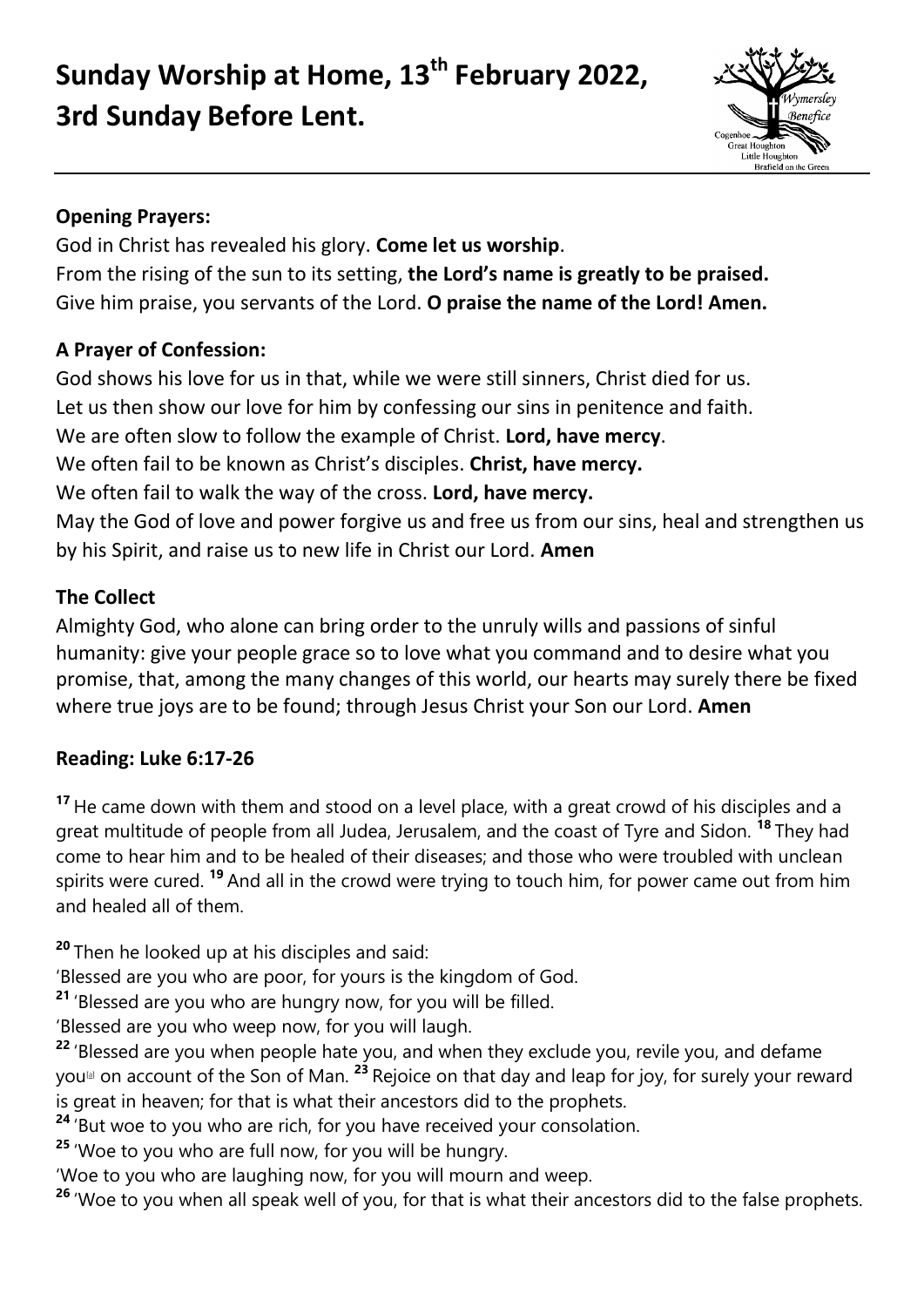# **Sunday Worship at Home, 13th February 2022, 3rd Sunday Before Lent.**



## **Opening Prayers:**

God in Christ has revealed his glory. **Come let us worship**. From the rising of the sun to its setting, **the Lord's name is greatly to be praised.** Give him praise, you servants of the Lord. **O praise the name of the Lord! Amen.**

## **A Prayer of Confession:**

God shows his love for us in that, while we were still sinners, Christ died for us. Let us then show our love for him by confessing our sins in penitence and faith. We are often slow to follow the example of Christ. **Lord, have mercy**. We often fail to be known as Christ's disciples. **Christ, have mercy.** We often fail to walk the way of the cross. **Lord, have mercy.** May the God of love and power forgive us and free us from our sins, heal and strengthen us by his Spirit, and raise us to new life in Christ our Lord. **Amen**

## **The Collect**

Almighty God, who alone can bring order to the unruly wills and passions of sinful humanity: give your people grace so to love what you command and to desire what you promise, that, among the many changes of this world, our hearts may surely there be fixed where true joys are to be found; through Jesus Christ your Son our Lord. **Amen**

## **Reading: Luke 6:17-26**

**<sup>17</sup>** He came down with them and stood on a level place, with a great crowd of his disciples and a great multitude of people from all Judea, Jerusalem, and the coast of Tyre and Sidon. **<sup>18</sup>** They had come to hear him and to be healed of their diseases; and those who were troubled with unclean spirits were cured. **<sup>19</sup>** And all in the crowd were trying to touch him, for power came out from him and healed all of them.

**<sup>20</sup>** Then he looked up at his disciples and said:

'Blessed are you who are poor, for yours is the kingdom of God.

**<sup>21</sup>** 'Blessed are you who are hungry now, for you will be filled.

'Blessed are you who weep now, for you will laugh.

**<sup>22</sup>** 'Blessed are you when people hate you, and when they exclude you, revile you, and defame you[\[a\]](https://www.biblegateway.com/passage/?search=lk+6%3A17-26&version=NRSVACE#fen-NRSVACE-29432a) on account of the Son of Man. **<sup>23</sup>** Rejoice on that day and leap for joy, for surely your reward is great in heaven; for that is what their ancestors did to the prophets.

**<sup>24</sup>** 'But woe to you who are rich, for you have received your consolation.

**<sup>25</sup>** 'Woe to you who are full now, for you will be hungry.

'Woe to you who are laughing now, for you will mourn and weep.

<sup>26</sup> 'Woe to you when all speak well of you, for that is what their ancestors did to the false prophets.